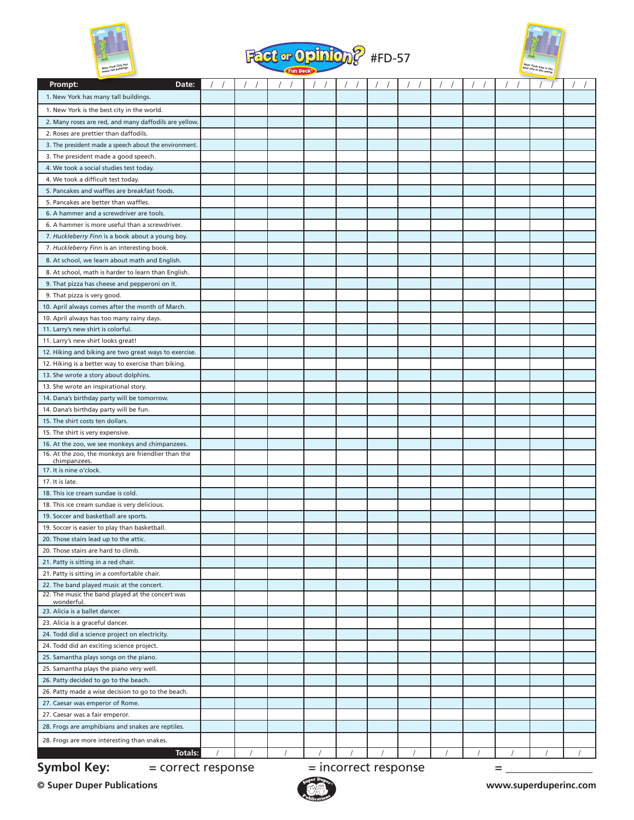





| $_{max}$                                              |  | $\sim$ run beck $\sim$ |                        |  |          |   |  |
|-------------------------------------------------------|--|------------------------|------------------------|--|----------|---|--|
| Date:<br>Prompt:                                      |  |                        |                        |  |          |   |  |
| 1. New York has many tall buildings.                  |  |                        |                        |  |          |   |  |
| 1. New York is the best city in the world.            |  |                        |                        |  |          |   |  |
| 2. Many roses are red, and many daffodils are yellow. |  |                        |                        |  |          |   |  |
| 2. Roses are prettier than daffodils.                 |  |                        |                        |  |          |   |  |
| 3. The president made a speech about the environment. |  |                        |                        |  |          |   |  |
| 3. The president made a good speech.                  |  |                        |                        |  |          |   |  |
| 4. We took a social studies test today.               |  |                        |                        |  |          |   |  |
| 4. We took a difficult test today.                    |  |                        |                        |  |          |   |  |
| 5. Pancakes and waffles are breakfast foods.          |  |                        |                        |  |          |   |  |
| 5. Pancakes are better than waffles.                  |  |                        |                        |  |          |   |  |
| 6. A hammer and a screwdriver are tools.              |  |                        |                        |  |          |   |  |
| 6. A hammer is more useful than a screwdriver.        |  |                        |                        |  |          |   |  |
| 7. Huckleberry Finn is a book about a young boy.      |  |                        |                        |  |          |   |  |
| 7. Huckleberry Finn is an interesting book.           |  |                        |                        |  |          |   |  |
| 8. At school, we learn about math and English.        |  |                        |                        |  |          |   |  |
| 8. At school, math is harder to learn than English.   |  |                        |                        |  |          |   |  |
| 9. That pizza has cheese and pepperoni on it.         |  |                        |                        |  |          |   |  |
| 9. That pizza is very good.                           |  |                        |                        |  |          |   |  |
| 10. April always comes after the month of March.      |  |                        |                        |  |          |   |  |
| 10. April always has too many rainy days.             |  |                        |                        |  |          |   |  |
| 11. Larry's new shirt is colorful.                    |  |                        |                        |  |          |   |  |
| 11. Larry's new shirt looks great!                    |  |                        |                        |  |          |   |  |
| 12. Hiking and biking are two great ways to exercise. |  |                        |                        |  |          |   |  |
| 12. Hiking is a better way to exercise than biking.   |  |                        |                        |  |          |   |  |
| 13. She wrote a story about dolphins.                 |  |                        |                        |  |          |   |  |
| 13. She wrote an inspirational story.                 |  |                        |                        |  |          |   |  |
| 14. Dana's birthday party will be tomorrow.           |  |                        |                        |  |          |   |  |
| 14. Dana's birthday party will be fun.                |  |                        |                        |  |          |   |  |
| 15. The shirt costs ten dollars.                      |  |                        |                        |  |          |   |  |
| 15. The shirt is very expensive.                      |  |                        |                        |  |          |   |  |
| 16. At the zoo, we see monkeys and chimpanzees.       |  |                        |                        |  |          |   |  |
| 16. At the zoo, the monkeys are friendlier than the   |  |                        |                        |  |          |   |  |
| chimpanzees.<br>17. It is nine o'clock.               |  |                        |                        |  |          |   |  |
| 17. It is late.                                       |  |                        |                        |  |          |   |  |
| 18. This ice cream sundae is cold.                    |  |                        |                        |  |          |   |  |
| 18. This ice cream sundae is very delicious.          |  |                        |                        |  |          |   |  |
| 19. Soccer and basketball are sports.                 |  |                        |                        |  |          |   |  |
| 19. Soccer is easier to play than basketball.         |  |                        |                        |  |          |   |  |
| 20. Those stairs lead up to the attic.                |  |                        |                        |  |          |   |  |
| 20. Those stairs are hard to climb.                   |  |                        |                        |  |          |   |  |
| 21. Patty is sitting in a red chair.                  |  |                        |                        |  |          |   |  |
| 21. Patty is sitting in a comfortable chair.          |  |                        |                        |  |          |   |  |
| 22. The band played music at the concert.             |  |                        |                        |  |          |   |  |
| 22. The music the band played at the concert was      |  |                        |                        |  |          |   |  |
| wonderful.                                            |  |                        |                        |  |          |   |  |
| 23. Alicia is a ballet dancer.                        |  |                        |                        |  |          |   |  |
| 23. Alicia is a graceful dancer.                      |  |                        |                        |  |          |   |  |
| 24. Todd did a science project on electricity.        |  |                        |                        |  |          |   |  |
| 24. Todd did an exciting science project.             |  |                        |                        |  |          |   |  |
| 25. Samantha plays songs on the piano.                |  |                        |                        |  |          |   |  |
| 25. Samantha plays the piano very well.               |  |                        |                        |  |          |   |  |
| 26. Patty decided to go to the beach.                 |  |                        |                        |  |          |   |  |
| 26. Patty made a wise decision to go to the beach.    |  |                        |                        |  |          |   |  |
| 27. Caesar was emperor of Rome.                       |  |                        |                        |  |          |   |  |
| 27. Caesar was a fair emperor.                        |  |                        |                        |  |          |   |  |
| 28. Frogs are amphibians and snakes are reptiles.     |  |                        |                        |  |          |   |  |
| 28. Frogs are more interesting than snakes.           |  |                        |                        |  |          |   |  |
| Totals:                                               |  | $\sqrt{2}$             |                        |  | $\prime$ |   |  |
| <b>Symbol Key:</b><br>= correct response              |  |                        | $=$ incorrect response |  |          | = |  |

**© Super Duper Publications www.superduperinc.com**